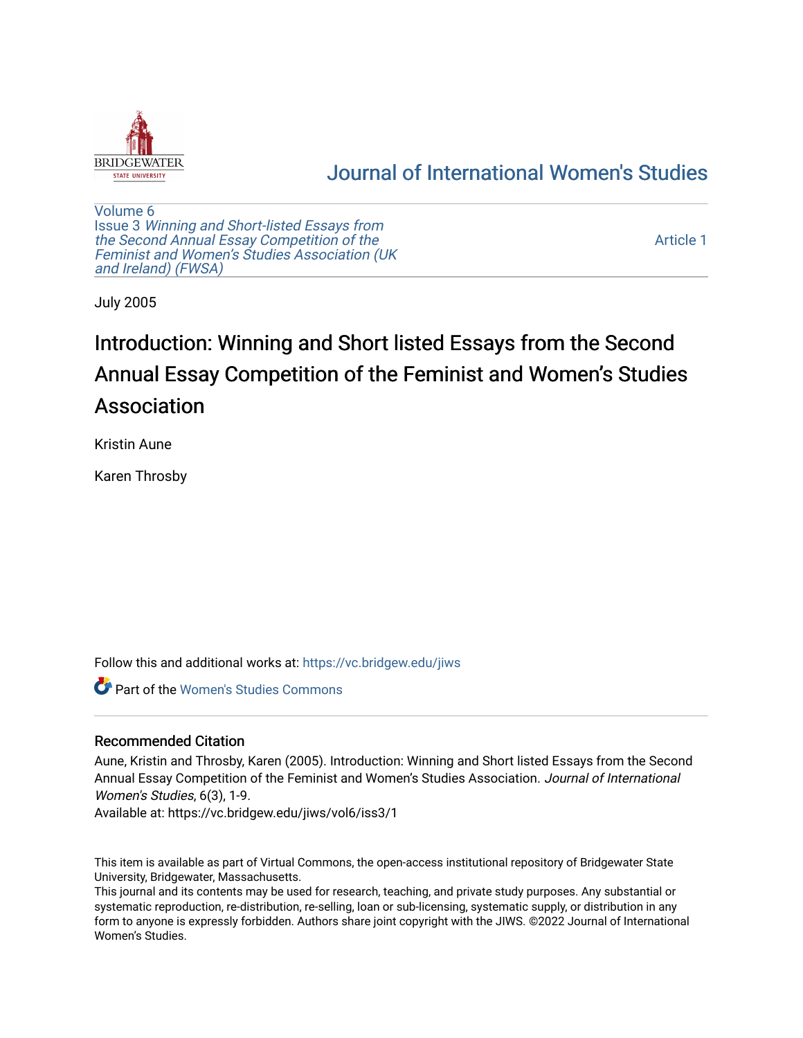

# [Journal of International Women's Studies](https://vc.bridgew.edu/jiws)

[Volume 6](https://vc.bridgew.edu/jiws/vol6) Issue 3 [Winning and Short-listed Essays from](https://vc.bridgew.edu/jiws/vol6/iss3) [the Second Annual Essay Competition of the](https://vc.bridgew.edu/jiws/vol6/iss3)  [Feminist and Women's Studies Association \(UK](https://vc.bridgew.edu/jiws/vol6/iss3) [and Ireland\) \(FWSA\)](https://vc.bridgew.edu/jiws/vol6/iss3) 

[Article 1](https://vc.bridgew.edu/jiws/vol6/iss3/1) 

July 2005

# Introduction: Winning and Short listed Essays from the Second Annual Essay Competition of the Feminist and Women's Studies Association

Kristin Aune

Karen Throsby

Follow this and additional works at: [https://vc.bridgew.edu/jiws](https://vc.bridgew.edu/jiws?utm_source=vc.bridgew.edu%2Fjiws%2Fvol6%2Fiss3%2F1&utm_medium=PDF&utm_campaign=PDFCoverPages)

**C** Part of the Women's Studies Commons

# Recommended Citation

Aune, Kristin and Throsby, Karen (2005). Introduction: Winning and Short listed Essays from the Second Annual Essay Competition of the Feminist and Women's Studies Association. Journal of International Women's Studies, 6(3), 1-9.

Available at: https://vc.bridgew.edu/jiws/vol6/iss3/1

This item is available as part of Virtual Commons, the open-access institutional repository of Bridgewater State University, Bridgewater, Massachusetts.

This journal and its contents may be used for research, teaching, and private study purposes. Any substantial or systematic reproduction, re-distribution, re-selling, loan or sub-licensing, systematic supply, or distribution in any form to anyone is expressly forbidden. Authors share joint copyright with the JIWS. ©2022 Journal of International Women's Studies.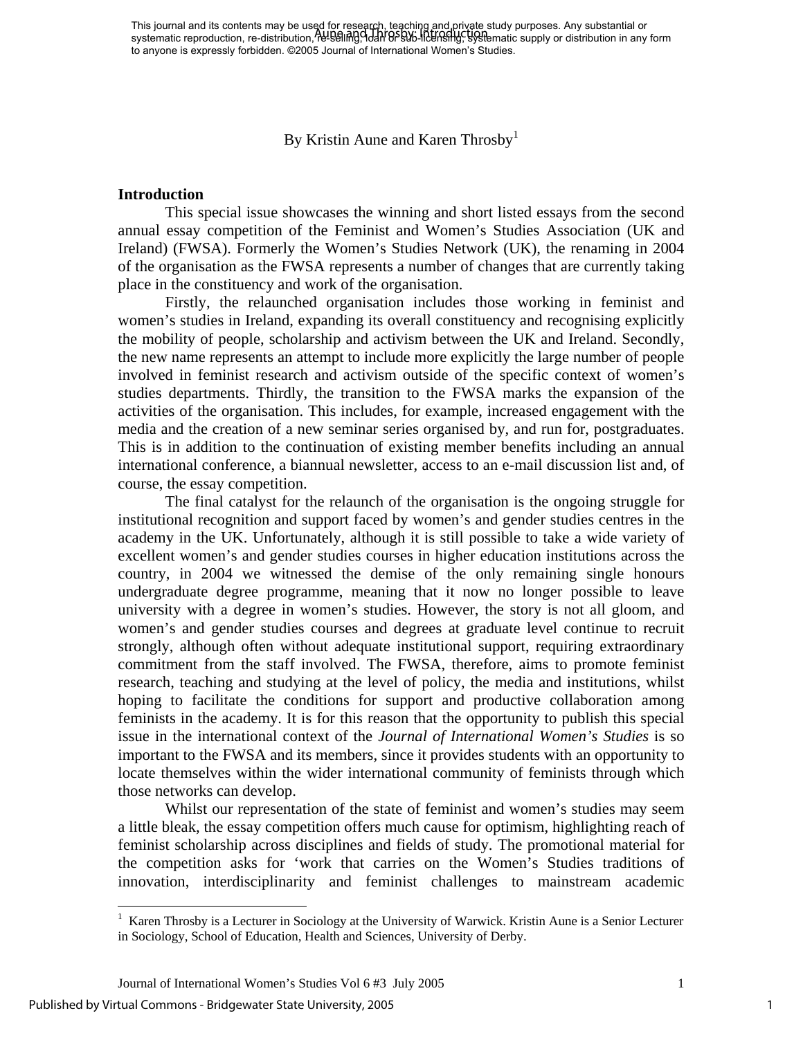This journal and its contents may be used for research, teaching and private study purposes. Any substantial or This journal and its contents may be ased for research, requiring and private study parposes. Any substantial or<br>systematic reproduction, re-distribution, <del>N</del>etselling, Idah OFSWs-Ildensifly, systematic supply or distribut to anyone is expressly forbidden. ©2005 Journal of International Women's Studies.

By Kristin Aune and Karen Throsby $<sup>1</sup>$  $<sup>1</sup>$  $<sup>1</sup>$ </sup>

#### **Introduction**

This special issue showcases the winning and short listed essays from the second annual essay competition of the Feminist and Women's Studies Association (UK and Ireland) (FWSA). Formerly the Women's Studies Network (UK), the renaming in 2004 of the organisation as the FWSA represents a number of changes that are currently taking place in the constituency and work of the organisation.

Firstly, the relaunched organisation includes those working in feminist and women's studies in Ireland, expanding its overall constituency and recognising explicitly the mobility of people, scholarship and activism between the UK and Ireland. Secondly, the new name represents an attempt to include more explicitly the large number of people involved in feminist research and activism outside of the specific context of women's studies departments. Thirdly, the transition to the FWSA marks the expansion of the activities of the organisation. This includes, for example, increased engagement with the media and the creation of a new seminar series organised by, and run for, postgraduates. This is in addition to the continuation of existing member benefits including an annual international conference, a biannual newsletter, access to an e-mail discussion list and, of course, the essay competition.

The final catalyst for the relaunch of the organisation is the ongoing struggle for institutional recognition and support faced by women's and gender studies centres in the academy in the UK. Unfortunately, although it is still possible to take a wide variety of excellent women's and gender studies courses in higher education institutions across the country, in 2004 we witnessed the demise of the only remaining single honours undergraduate degree programme, meaning that it now no longer possible to leave university with a degree in women's studies. However, the story is not all gloom, and women's and gender studies courses and degrees at graduate level continue to recruit strongly, although often without adequate institutional support, requiring extraordinary commitment from the staff involved. The FWSA, therefore, aims to promote feminist research, teaching and studying at the level of policy, the media and institutions, whilst hoping to facilitate the conditions for support and productive collaboration among feminists in the academy. It is for this reason that the opportunity to publish this special issue in the international context of the *Journal of International Women's Studies* is so important to the FWSA and its members, since it provides students with an opportunity to locate themselves within the wider international community of feminists through which those networks can develop.

Whilst our representation of the state of feminist and women's studies may seem a little bleak, the essay competition offers much cause for optimism, highlighting reach of feminist scholarship across disciplines and fields of study. The promotional material for the competition asks for 'work that carries on the Women's Studies traditions of innovation, interdisciplinarity and feminist challenges to mainstream academic

 $\overline{a}$ 

1

<span id="page-1-0"></span><sup>&</sup>lt;sup>1</sup> Karen Throsby is a Lecturer in Sociology at the University of Warwick. Kristin Aune is a Senior Lecturer in Sociology, School of Education, Health and Sciences, University of Derby.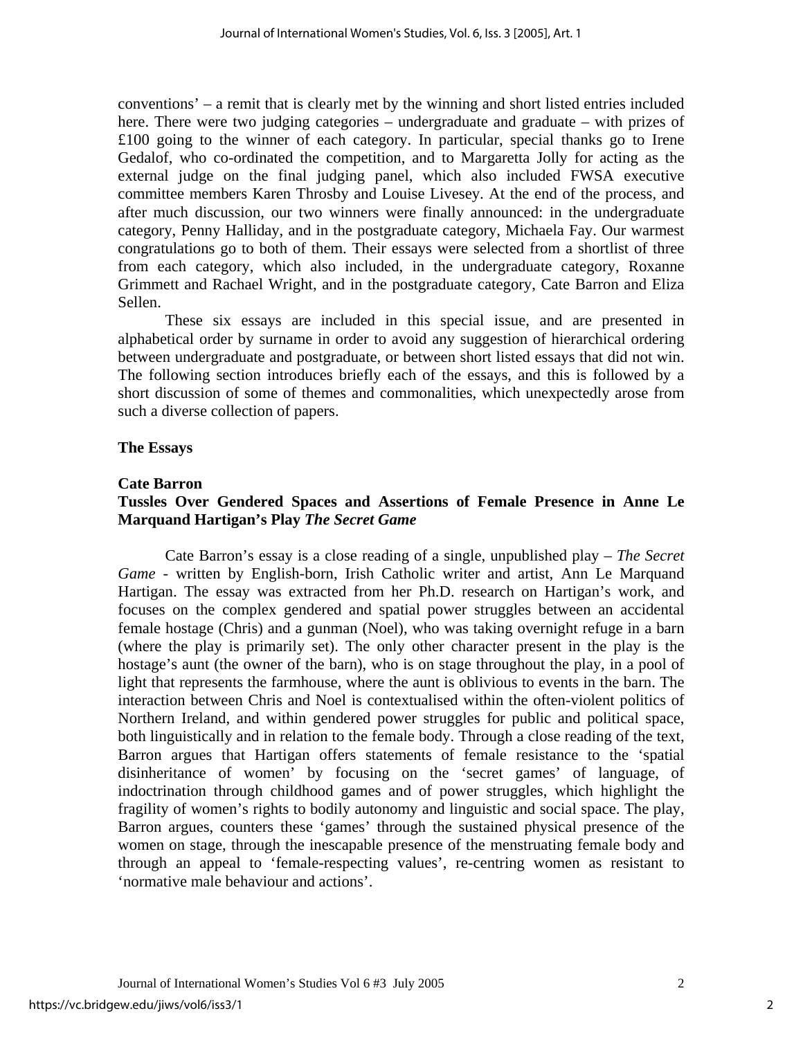conventions' – a remit that is clearly met by the winning and short listed entries included here. There were two judging categories – undergraduate and graduate – with prizes of £100 going to the winner of each category. In particular, special thanks go to Irene Gedalof, who co-ordinated the competition, and to Margaretta Jolly for acting as the external judge on the final judging panel, which also included FWSA executive committee members Karen Throsby and Louise Livesey. At the end of the process, and after much discussion, our two winners were finally announced: in the undergraduate category, Penny Halliday, and in the postgraduate category, Michaela Fay. Our warmest congratulations go to both of them. Their essays were selected from a shortlist of three from each category, which also included, in the undergraduate category, Roxanne Grimmett and Rachael Wright, and in the postgraduate category, Cate Barron and Eliza Sellen.

These six essays are included in this special issue, and are presented in alphabetical order by surname in order to avoid any suggestion of hierarchical ordering between undergraduate and postgraduate, or between short listed essays that did not win. The following section introduces briefly each of the essays, and this is followed by a short discussion of some of themes and commonalities, which unexpectedly arose from such a diverse collection of papers.

# **The Essays**

## **Cate Barron**

# **Tussles Over Gendered Spaces and Assertions of Female Presence in Anne Le Marquand Hartigan's Play** *The Secret Game*

Cate Barron's essay is a close reading of a single, unpublished play – *The Secret Game* - written by English-born, Irish Catholic writer and artist, Ann Le Marquand Hartigan. The essay was extracted from her Ph.D. research on Hartigan's work, and focuses on the complex gendered and spatial power struggles between an accidental female hostage (Chris) and a gunman (Noel), who was taking overnight refuge in a barn (where the play is primarily set). The only other character present in the play is the hostage's aunt (the owner of the barn), who is on stage throughout the play, in a pool of light that represents the farmhouse, where the aunt is oblivious to events in the barn. The interaction between Chris and Noel is contextualised within the often-violent politics of Northern Ireland, and within gendered power struggles for public and political space, both linguistically and in relation to the female body. Through a close reading of the text, Barron argues that Hartigan offers statements of female resistance to the 'spatial disinheritance of women' by focusing on the 'secret games' of language, of indoctrination through childhood games and of power struggles, which highlight the fragility of women's rights to bodily autonomy and linguistic and social space. The play, Barron argues, counters these 'games' through the sustained physical presence of the women on stage, through the inescapable presence of the menstruating female body and through an appeal to 'female-respecting values', re-centring women as resistant to 'normative male behaviour and actions'.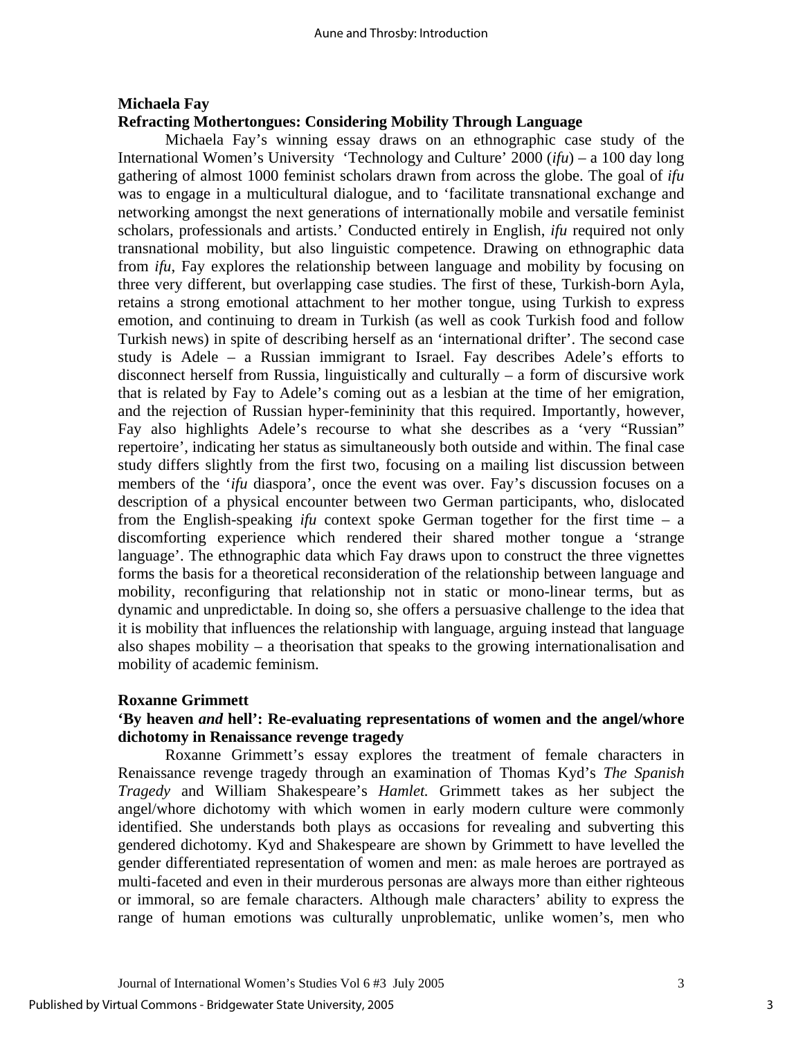# **Michaela Fay Refracting Mothertongues: Considering Mobility Through Language**

Michaela Fay's winning essay draws on an ethnographic case study of the International Women's University 'Technology and Culture' 2000 (*ifu*) – a 100 day long gathering of almost 1000 feminist scholars drawn from across the globe. The goal of *ifu* was to engage in a multicultural dialogue, and to 'facilitate transnational exchange and networking amongst the next generations of internationally mobile and versatile feminist scholars, professionals and artists.' Conducted entirely in English, *ifu* required not only transnational mobility, but also linguistic competence. Drawing on ethnographic data from *ifu*, Fay explores the relationship between language and mobility by focusing on three very different, but overlapping case studies. The first of these, Turkish-born Ayla, retains a strong emotional attachment to her mother tongue, using Turkish to express emotion, and continuing to dream in Turkish (as well as cook Turkish food and follow Turkish news) in spite of describing herself as an 'international drifter'. The second case study is Adele – a Russian immigrant to Israel. Fay describes Adele's efforts to disconnect herself from Russia, linguistically and culturally – a form of discursive work that is related by Fay to Adele's coming out as a lesbian at the time of her emigration, and the rejection of Russian hyper-femininity that this required. Importantly, however, Fay also highlights Adele's recourse to what she describes as a 'very "Russian" repertoire', indicating her status as simultaneously both outside and within. The final case study differs slightly from the first two, focusing on a mailing list discussion between members of the '*ifu* diaspora', once the event was over. Fay's discussion focuses on a description of a physical encounter between two German participants, who, dislocated from the English-speaking *ifu* context spoke German together for the first time – a discomforting experience which rendered their shared mother tongue a 'strange language'. The ethnographic data which Fay draws upon to construct the three vignettes forms the basis for a theoretical reconsideration of the relationship between language and mobility, reconfiguring that relationship not in static or mono-linear terms, but as dynamic and unpredictable. In doing so, she offers a persuasive challenge to the idea that it is mobility that influences the relationship with language, arguing instead that language also shapes mobility – a theorisation that speaks to the growing internationalisation and mobility of academic feminism.

#### **Roxanne Grimmett**

# **'By heaven** *and* **hell': Re-evaluating representations of women and the angel/whore dichotomy in Renaissance revenge tragedy**

Roxanne Grimmett's essay explores the treatment of female characters in Renaissance revenge tragedy through an examination of Thomas Kyd's *The Spanish Tragedy* and William Shakespeare's *Hamlet.* Grimmett takes as her subject the angel/whore dichotomy with which women in early modern culture were commonly identified. She understands both plays as occasions for revealing and subverting this gendered dichotomy. Kyd and Shakespeare are shown by Grimmett to have levelled the gender differentiated representation of women and men: as male heroes are portrayed as multi-faceted and even in their murderous personas are always more than either righteous or immoral, so are female characters. Although male characters' ability to express the range of human emotions was culturally unproblematic, unlike women's, men who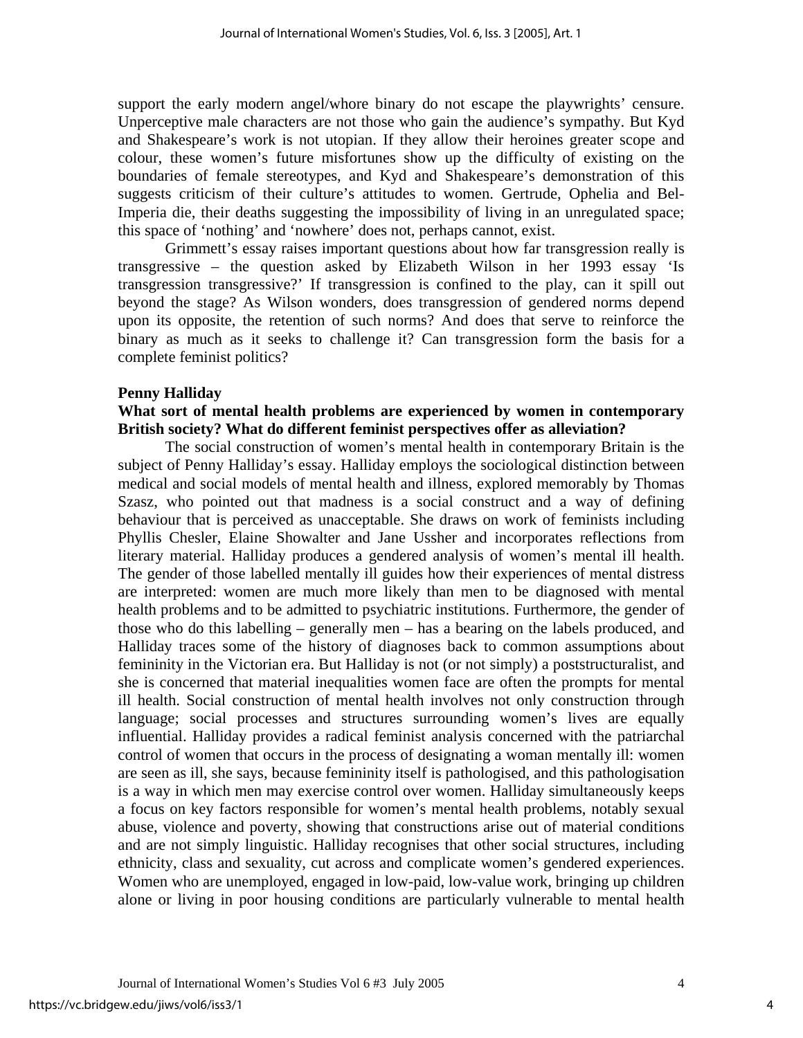support the early modern angel/whore binary do not escape the playwrights' censure. Unperceptive male characters are not those who gain the audience's sympathy. But Kyd and Shakespeare's work is not utopian. If they allow their heroines greater scope and colour, these women's future misfortunes show up the difficulty of existing on the boundaries of female stereotypes, and Kyd and Shakespeare's demonstration of this suggests criticism of their culture's attitudes to women. Gertrude, Ophelia and Bel-Imperia die, their deaths suggesting the impossibility of living in an unregulated space; this space of 'nothing' and 'nowhere' does not, perhaps cannot, exist.

Grimmett's essay raises important questions about how far transgression really is transgressive – the question asked by Elizabeth Wilson in her 1993 essay 'Is transgression transgressive?' If transgression is confined to the play, can it spill out beyond the stage? As Wilson wonders, does transgression of gendered norms depend upon its opposite, the retention of such norms? And does that serve to reinforce the binary as much as it seeks to challenge it? Can transgression form the basis for a complete feminist politics?

#### **Penny Halliday**

# **What sort of mental health problems are experienced by women in contemporary British society? What do different feminist perspectives offer as alleviation?**

The social construction of women's mental health in contemporary Britain is the subject of Penny Halliday's essay. Halliday employs the sociological distinction between medical and social models of mental health and illness, explored memorably by Thomas Szasz, who pointed out that madness is a social construct and a way of defining behaviour that is perceived as unacceptable. She draws on work of feminists including Phyllis Chesler, Elaine Showalter and Jane Ussher and incorporates reflections from literary material. Halliday produces a gendered analysis of women's mental ill health. The gender of those labelled mentally ill guides how their experiences of mental distress are interpreted: women are much more likely than men to be diagnosed with mental health problems and to be admitted to psychiatric institutions. Furthermore, the gender of those who do this labelling – generally men – has a bearing on the labels produced, and Halliday traces some of the history of diagnoses back to common assumptions about femininity in the Victorian era. But Halliday is not (or not simply) a poststructuralist, and she is concerned that material inequalities women face are often the prompts for mental ill health. Social construction of mental health involves not only construction through language; social processes and structures surrounding women's lives are equally influential. Halliday provides a radical feminist analysis concerned with the patriarchal control of women that occurs in the process of designating a woman mentally ill: women are seen as ill, she says, because femininity itself is pathologised, and this pathologisation is a way in which men may exercise control over women. Halliday simultaneously keeps a focus on key factors responsible for women's mental health problems, notably sexual abuse, violence and poverty, showing that constructions arise out of material conditions and are not simply linguistic. Halliday recognises that other social structures, including ethnicity, class and sexuality, cut across and complicate women's gendered experiences. Women who are unemployed, engaged in low-paid, low-value work, bringing up children alone or living in poor housing conditions are particularly vulnerable to mental health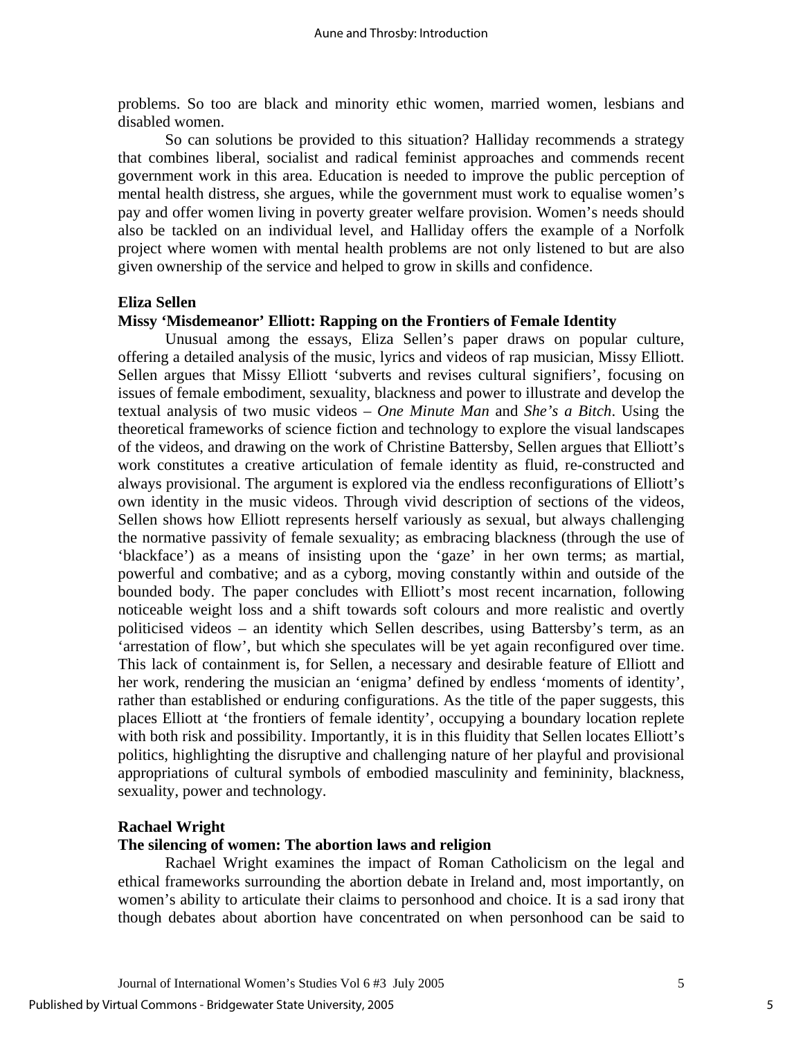problems. So too are black and minority ethic women, married women, lesbians and disabled women.

 So can solutions be provided to this situation? Halliday recommends a strategy that combines liberal, socialist and radical feminist approaches and commends recent government work in this area. Education is needed to improve the public perception of mental health distress, she argues, while the government must work to equalise women's pay and offer women living in poverty greater welfare provision. Women's needs should also be tackled on an individual level, and Halliday offers the example of a Norfolk project where women with mental health problems are not only listened to but are also given ownership of the service and helped to grow in skills and confidence.

## **Eliza Sellen**

#### **Missy 'Misdemeanor' Elliott: Rapping on the Frontiers of Female Identity**

Unusual among the essays, Eliza Sellen's paper draws on popular culture, offering a detailed analysis of the music, lyrics and videos of rap musician, Missy Elliott. Sellen argues that Missy Elliott 'subverts and revises cultural signifiers', focusing on issues of female embodiment, sexuality, blackness and power to illustrate and develop the textual analysis of two music videos – *One Minute Man* and *She's a Bitch*. Using the theoretical frameworks of science fiction and technology to explore the visual landscapes of the videos, and drawing on the work of Christine Battersby, Sellen argues that Elliott's work constitutes a creative articulation of female identity as fluid, re-constructed and always provisional. The argument is explored via the endless reconfigurations of Elliott's own identity in the music videos. Through vivid description of sections of the videos, Sellen shows how Elliott represents herself variously as sexual, but always challenging the normative passivity of female sexuality; as embracing blackness (through the use of 'blackface') as a means of insisting upon the 'gaze' in her own terms; as martial, powerful and combative; and as a cyborg, moving constantly within and outside of the bounded body. The paper concludes with Elliott's most recent incarnation, following noticeable weight loss and a shift towards soft colours and more realistic and overtly politicised videos – an identity which Sellen describes, using Battersby's term, as an 'arrestation of flow', but which she speculates will be yet again reconfigured over time. This lack of containment is, for Sellen, a necessary and desirable feature of Elliott and her work, rendering the musician an 'enigma' defined by endless 'moments of identity', rather than established or enduring configurations. As the title of the paper suggests, this places Elliott at 'the frontiers of female identity', occupying a boundary location replete with both risk and possibility. Importantly, it is in this fluidity that Sellen locates Elliott's politics, highlighting the disruptive and challenging nature of her playful and provisional appropriations of cultural symbols of embodied masculinity and femininity, blackness, sexuality, power and technology.

#### **Rachael Wright**

#### **The silencing of women: The abortion laws and religion**

 Rachael Wright examines the impact of Roman Catholicism on the legal and ethical frameworks surrounding the abortion debate in Ireland and, most importantly, on women's ability to articulate their claims to personhood and choice. It is a sad irony that though debates about abortion have concentrated on when personhood can be said to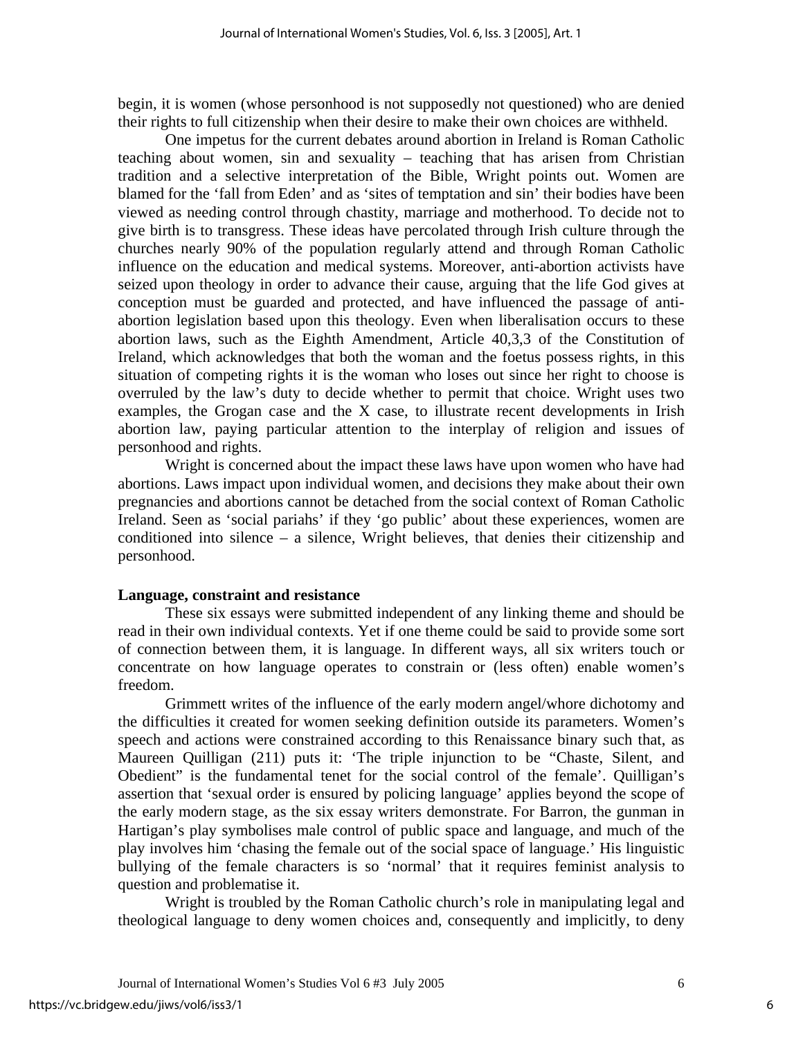begin, it is women (whose personhood is not supposedly not questioned) who are denied their rights to full citizenship when their desire to make their own choices are withheld.

One impetus for the current debates around abortion in Ireland is Roman Catholic teaching about women, sin and sexuality – teaching that has arisen from Christian tradition and a selective interpretation of the Bible, Wright points out. Women are blamed for the 'fall from Eden' and as 'sites of temptation and sin' their bodies have been viewed as needing control through chastity, marriage and motherhood. To decide not to give birth is to transgress. These ideas have percolated through Irish culture through the churches nearly 90% of the population regularly attend and through Roman Catholic influence on the education and medical systems. Moreover, anti-abortion activists have seized upon theology in order to advance their cause, arguing that the life God gives at conception must be guarded and protected, and have influenced the passage of antiabortion legislation based upon this theology. Even when liberalisation occurs to these abortion laws, such as the Eighth Amendment, Article 40,3,3 of the Constitution of Ireland, which acknowledges that both the woman and the foetus possess rights, in this situation of competing rights it is the woman who loses out since her right to choose is overruled by the law's duty to decide whether to permit that choice. Wright uses two examples, the Grogan case and the X case, to illustrate recent developments in Irish abortion law, paying particular attention to the interplay of religion and issues of personhood and rights.

Wright is concerned about the impact these laws have upon women who have had abortions. Laws impact upon individual women, and decisions they make about their own pregnancies and abortions cannot be detached from the social context of Roman Catholic Ireland. Seen as 'social pariahs' if they 'go public' about these experiences, women are conditioned into silence – a silence, Wright believes, that denies their citizenship and personhood.

#### **Language, constraint and resistance**

These six essays were submitted independent of any linking theme and should be read in their own individual contexts. Yet if one theme could be said to provide some sort of connection between them, it is language. In different ways, all six writers touch or concentrate on how language operates to constrain or (less often) enable women's freedom.

 Grimmett writes of the influence of the early modern angel/whore dichotomy and the difficulties it created for women seeking definition outside its parameters. Women's speech and actions were constrained according to this Renaissance binary such that, as Maureen Quilligan (211) puts it: 'The triple injunction to be "Chaste, Silent, and Obedient" is the fundamental tenet for the social control of the female'. Quilligan's assertion that 'sexual order is ensured by policing language' applies beyond the scope of the early modern stage, as the six essay writers demonstrate. For Barron, the gunman in Hartigan's play symbolises male control of public space and language, and much of the play involves him 'chasing the female out of the social space of language.' His linguistic bullying of the female characters is so 'normal' that it requires feminist analysis to question and problematise it.

Wright is troubled by the Roman Catholic church's role in manipulating legal and theological language to deny women choices and, consequently and implicitly, to deny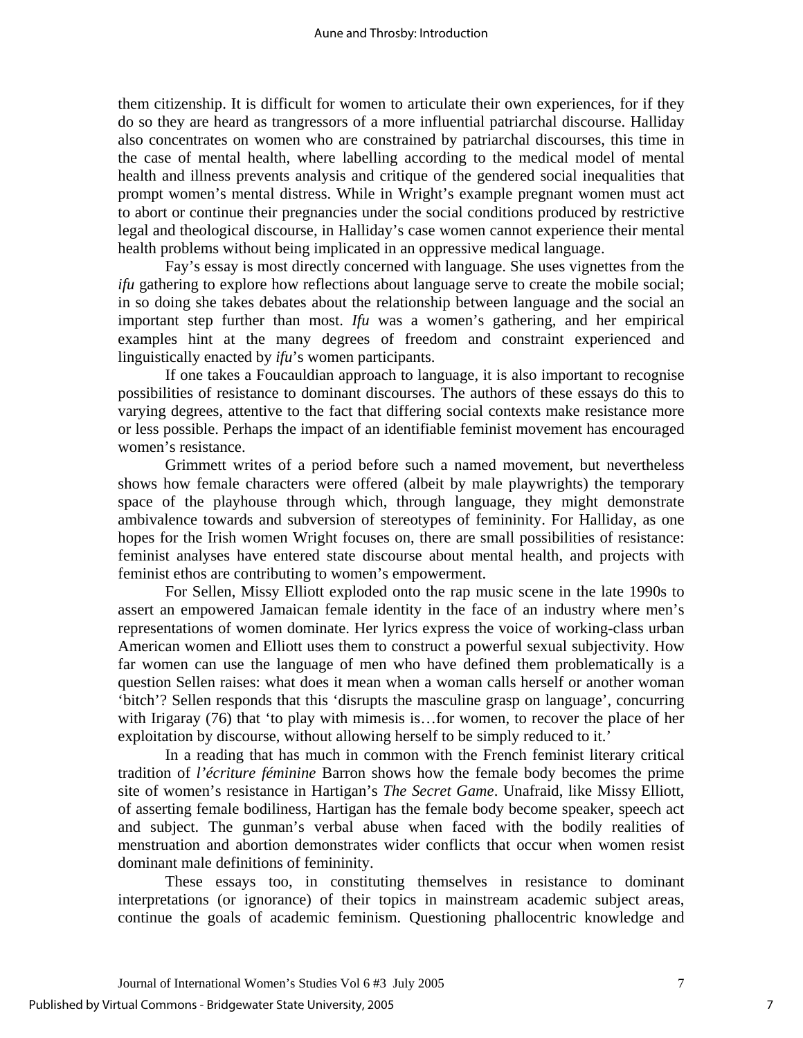them citizenship. It is difficult for women to articulate their own experiences, for if they do so they are heard as trangressors of a more influential patriarchal discourse. Halliday also concentrates on women who are constrained by patriarchal discourses, this time in the case of mental health, where labelling according to the medical model of mental health and illness prevents analysis and critique of the gendered social inequalities that prompt women's mental distress. While in Wright's example pregnant women must act to abort or continue their pregnancies under the social conditions produced by restrictive legal and theological discourse, in Halliday's case women cannot experience their mental health problems without being implicated in an oppressive medical language.

Fay's essay is most directly concerned with language. She uses vignettes from the *ifu* gathering to explore how reflections about language serve to create the mobile social; in so doing she takes debates about the relationship between language and the social an important step further than most. *Ifu* was a women's gathering, and her empirical examples hint at the many degrees of freedom and constraint experienced and linguistically enacted by *ifu*'s women participants.

If one takes a Foucauldian approach to language, it is also important to recognise possibilities of resistance to dominant discourses. The authors of these essays do this to varying degrees, attentive to the fact that differing social contexts make resistance more or less possible. Perhaps the impact of an identifiable feminist movement has encouraged women's resistance.

Grimmett writes of a period before such a named movement, but nevertheless shows how female characters were offered (albeit by male playwrights) the temporary space of the playhouse through which, through language, they might demonstrate ambivalence towards and subversion of stereotypes of femininity. For Halliday, as one hopes for the Irish women Wright focuses on, there are small possibilities of resistance: feminist analyses have entered state discourse about mental health, and projects with feminist ethos are contributing to women's empowerment.

For Sellen, Missy Elliott exploded onto the rap music scene in the late 1990s to assert an empowered Jamaican female identity in the face of an industry where men's representations of women dominate. Her lyrics express the voice of working-class urban American women and Elliott uses them to construct a powerful sexual subjectivity. How far women can use the language of men who have defined them problematically is a question Sellen raises: what does it mean when a woman calls herself or another woman 'bitch'? Sellen responds that this 'disrupts the masculine grasp on language', concurring with Irigaray (76) that 'to play with mimesis is...for women, to recover the place of her exploitation by discourse, without allowing herself to be simply reduced to it.'

In a reading that has much in common with the French feminist literary critical tradition of *l'écriture féminine* Barron shows how the female body becomes the prime site of women's resistance in Hartigan's *The Secret Game*. Unafraid, like Missy Elliott, of asserting female bodiliness, Hartigan has the female body become speaker, speech act and subject. The gunman's verbal abuse when faced with the bodily realities of menstruation and abortion demonstrates wider conflicts that occur when women resist dominant male definitions of femininity.

These essays too, in constituting themselves in resistance to dominant interpretations (or ignorance) of their topics in mainstream academic subject areas, continue the goals of academic feminism. Questioning phallocentric knowledge and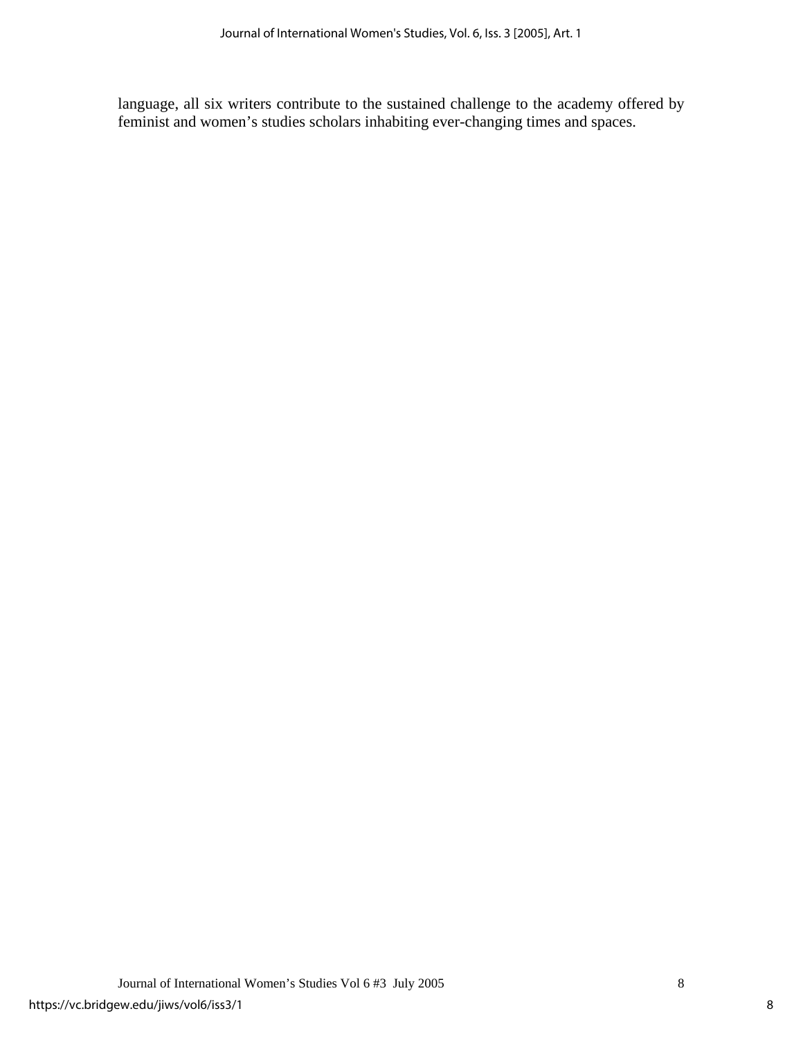language, all six writers contribute to the sustained challenge to the academy offered by feminist and women's studies scholars inhabiting ever-changing times and spaces.